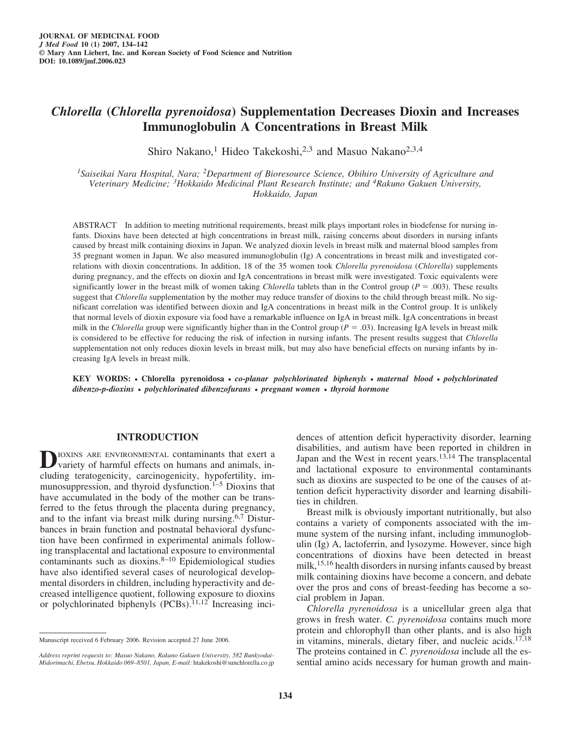# *Chlorella* **(***Chlorella pyrenoidosa***) Supplementation Decreases Dioxin and Increases Immunoglobulin A Concentrations in Breast Milk**

Shiro Nakano,<sup>1</sup> Hideo Takekoshi,<sup>2,3</sup> and Masuo Nakano<sup>2,3,4</sup>

*1Saiseikai Nara Hospital, Nara; 2Department of Bioresource Science, Obihiro University of Agriculture and Veterinary Medicine; 3Hokkaido Medicinal Plant Research Institute; and 4Rakuno Gakuen University, Hokkaido, Japan*

ABSTRACT In addition to meeting nutritional requirements, breast milk plays important roles in biodefense for nursing infants. Dioxins have been detected at high concentrations in breast milk, raising concerns about disorders in nursing infants caused by breast milk containing dioxins in Japan. We analyzed dioxin levels in breast milk and maternal blood samples from 35 pregnant women in Japan. We also measured immunoglobulin (Ig) A concentrations in breast milk and investigated correlations with dioxin concentrations. In addition, 18 of the 35 women took *Chlorella pyrenoidosa* (*Chlorella*) supplements during pregnancy, and the effects on dioxin and IgA concentrations in breast milk were investigated. Toxic equivalents were significantly lower in the breast milk of women taking *Chlorella* tablets than in the Control group ( $P = .003$ ). These results suggest that *Chlorella* supplementation by the mother may reduce transfer of dioxins to the child through breast milk. No significant correlation was identified between dioxin and IgA concentrations in breast milk in the Control group. It is unlikely that normal levels of dioxin exposure via food have a remarkable influence on IgA in breast milk. IgA concentrations in breast milk in the *Chlorella* group were significantly higher than in the Control group ( $P = .03$ ). Increasing IgA levels in breast milk is considered to be effective for reducing the risk of infection in nursing infants. The present results suggest that *Chlorella* supplementation not only reduces dioxin levels in breast milk, but may also have beneficial effects on nursing infants by increasing IgA levels in breast milk.

**KEY WORDS:** *•* **Chlorella pyrenoidosa** *• co-planar polychlorinated biphenyls • maternal blood • polychlorinated dibenzo-p-dioxins • polychlorinated dibenzofurans • pregnant women • thyroid hormone*

# **INTRODUCTION**

**D**IOXINS ARE ENVIRONMENTAL contaminants that exert a variety of harmful effects on humans and animals, including teratogenicity, carcinogenicity, hypofertility, immunosuppression, and thyroid dysfunction.<sup>1–5</sup> Dioxins that have accumulated in the body of the mother can be transferred to the fetus through the placenta during pregnancy, and to the infant via breast milk during nursing.6,7 Disturbances in brain function and postnatal behavioral dysfunction have been confirmed in experimental animals following transplacental and lactational exposure to environmental contaminants such as dioxins.8–10 Epidemiological studies have also identified several cases of neurological developmental disorders in children, including hyperactivity and decreased intelligence quotient, following exposure to dioxins or polychlorinated biphenyls  $(PCBs)$ .<sup>11,12</sup> Increasing inci-

dences of attention deficit hyperactivity disorder, learning disabilities, and autism have been reported in children in Japan and the West in recent years.<sup>13,14</sup> The transplacental and lactational exposure to environmental contaminants such as dioxins are suspected to be one of the causes of attention deficit hyperactivity disorder and learning disabilities in children.

Breast milk is obviously important nutritionally, but also contains a variety of components associated with the immune system of the nursing infant, including immunoglobulin (Ig) A, lactoferrin, and lysozyme. However, since high concentrations of dioxins have been detected in breast milk,<sup>15,16</sup> health disorders in nursing infants caused by breast milk containing dioxins have become a concern, and debate over the pros and cons of breast-feeding has become a social problem in Japan.

*Chlorella pyrenoidosa* is a unicellular green alga that grows in fresh water. *C. pyrenoidosa* contains much more protein and chlorophyll than other plants, and is also high in vitamins, minerals, dietary fiber, and nucleic acids.<sup>17,18</sup> The proteins contained in *C. pyrenoidosa* include all the essential amino acids necessary for human growth and main-

Manuscript received 6 February 2006. Revision accepted 27 June 2006.

*Address reprint requests to: Masuo Nakano, Rakuno Gakuen University, 582 Bunkyodai-Midorimachi, Ebetsu, Hokkaido 069–8501, Japan, E-mail:* htakekoshi@sunchlorella.co.jp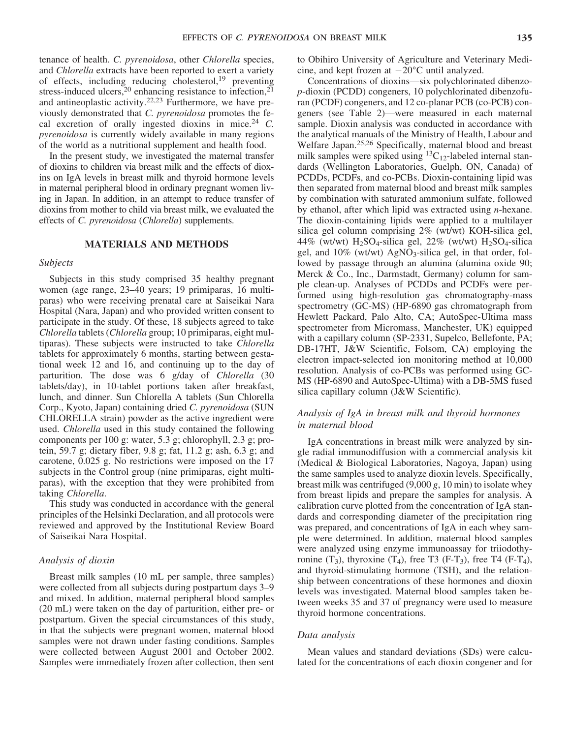tenance of health. *C. pyrenoidosa*, other *Chlorella* species, and *Chlorella* extracts have been reported to exert a variety of effects, including reducing cholesterol,<sup>19</sup> preventing stress-induced ulcers,<sup>20</sup> enhancing resistance to infection,<sup>21</sup> and antineoplastic activity.22,23 Furthermore, we have previously demonstrated that *C. pyrenoidosa* promotes the fecal excretion of orally ingested dioxins in mice.<sup>24</sup> *C. pyrenoidosa* is currently widely available in many regions of the world as a nutritional supplement and health food.

In the present study, we investigated the maternal transfer of dioxins to children via breast milk and the effects of dioxins on IgA levels in breast milk and thyroid hormone levels in maternal peripheral blood in ordinary pregnant women living in Japan. In addition, in an attempt to reduce transfer of dioxins from mother to child via breast milk, we evaluated the effects of *C. pyrenoidosa* (*Chlorella*) supplements.

#### **MATERIALS AND METHODS**

#### *Subjects*

Subjects in this study comprised 35 healthy pregnant women (age range, 23–40 years; 19 primiparas, 16 multiparas) who were receiving prenatal care at Saiseikai Nara Hospital (Nara, Japan) and who provided written consent to participate in the study. Of these, 18 subjects agreed to take *Chlorella* tablets (*Chlorella* group; 10 primiparas, eight multiparas). These subjects were instructed to take *Chlorella* tablets for approximately 6 months, starting between gestational week 12 and 16, and continuing up to the day of parturition. The dose was 6 g/day of *Chlorella* (30 tablets/day), in 10-tablet portions taken after breakfast, lunch, and dinner. Sun Chlorella A tablets (Sun Chlorella Corp., Kyoto, Japan) containing dried *C. pyrenoidosa* (SUN CHLORELLA strain) powder as the active ingredient were used. *Chlorella* used in this study contained the following components per 100 g: water, 5.3 g; chlorophyll, 2.3 g; protein, 59.7 g; dietary fiber, 9.8 g; fat, 11.2 g; ash, 6.3 g; and carotene, 0.025 g. No restrictions were imposed on the 17 subjects in the Control group (nine primiparas, eight multiparas), with the exception that they were prohibited from taking *Chlorella*.

This study was conducted in accordance with the general principles of the Helsinki Declaration, and all protocols were reviewed and approved by the Institutional Review Board of Saiseikai Nara Hospital.

#### *Analysis of dioxin*

Breast milk samples (10 mL per sample, three samples) were collected from all subjects during postpartum days 3–9 and mixed. In addition, maternal peripheral blood samples (20 mL) were taken on the day of parturition, either pre- or postpartum. Given the special circumstances of this study, in that the subjects were pregnant women, maternal blood samples were not drawn under fasting conditions. Samples were collected between August 2001 and October 2002. Samples were immediately frozen after collection, then sent to Obihiro University of Agriculture and Veterinary Medicine, and kept frozen at  $-20^{\circ}$ C until analyzed.

Concentrations of dioxins—six polychlorinated dibenzo*p*-dioxin (PCDD) congeners, 10 polychlorinated dibenzofuran (PCDF) congeners, and 12 co-planar PCB (co-PCB) congeners (see Table 2)—were measured in each maternal sample. Dioxin analysis was conducted in accordance with the analytical manuals of the Ministry of Health, Labour and Welfare Japan.25,26 Specifically, maternal blood and breast milk samples were spiked using  ${}^{13}C_{12}$ -labeled internal standards (Wellington Laboratories, Guelph, ON, Canada) of PCDDs, PCDFs, and co-PCBs. Dioxin-containing lipid was then separated from maternal blood and breast milk samples by combination with saturated ammonium sulfate, followed by ethanol, after which lipid was extracted using *n*-hexane. The dioxin-containing lipids were applied to a multilayer silica gel column comprising 2% (wt/wt) KOH-silica gel, 44% (wt/wt)  $H_2SO_4$ -silica gel, 22% (wt/wt)  $H_2SO_4$ -silica gel, and  $10\%$  (wt/wt) AgNO<sub>3</sub>-silica gel, in that order, followed by passage through an alumina (alumina oxide 90; Merck & Co., Inc., Darmstadt, Germany) column for sample clean-up. Analyses of PCDDs and PCDFs were performed using high-resolution gas chromatography-mass spectrometry (GC-MS) (HP-6890 gas chromatograph from Hewlett Packard, Palo Alto, CA; AutoSpec-Ultima mass spectrometer from Micromass, Manchester, UK) equipped with a capillary column (SP-2331, Supelco, Bellefonte, PA; DB-17HT, J&W Scientific, Folsom, CA) employing the electron impact-selected ion monitoring method at 10,000 resolution. Analysis of co-PCBs was performed using GC-MS (HP-6890 and AutoSpec-Ultima) with a DB-5MS fused silica capillary column (J&W Scientific).

# *Analysis of IgA in breast milk and thyroid hormones in maternal blood*

IgA concentrations in breast milk were analyzed by single radial immunodiffusion with a commercial analysis kit (Medical & Biological Laboratories, Nagoya, Japan) using the same samples used to analyze dioxin levels. Specifically, breast milk was centrifuged (9,000 *g*, 10 min) to isolate whey from breast lipids and prepare the samples for analysis. A calibration curve plotted from the concentration of IgA standards and corresponding diameter of the precipitation ring was prepared, and concentrations of IgA in each whey sample were determined. In addition, maternal blood samples were analyzed using enzyme immunoassay for triiodothyronine  $(T_3)$ , thyroxine  $(T_4)$ , free T3 (F-T<sub>3</sub>), free T4 (F-T<sub>4</sub>), and thyroid-stimulating hormone (TSH), and the relationship between concentrations of these hormones and dioxin levels was investigated. Maternal blood samples taken between weeks 35 and 37 of pregnancy were used to measure thyroid hormone concentrations.

# *Data analysis*

Mean values and standard deviations (SDs) were calculated for the concentrations of each dioxin congener and for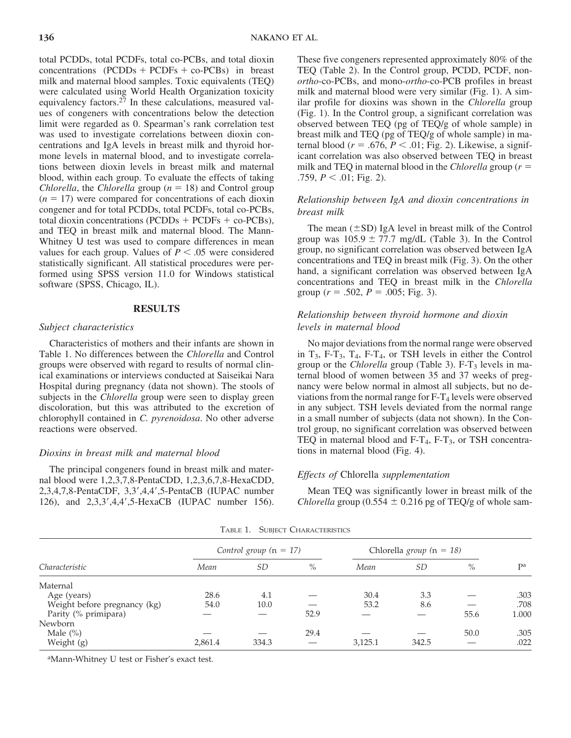total PCDDs, total PCDFs, total co-PCBs, and total dioxin concentrations  $(PCDDs + PCDFs + co-PCBs)$  in breast milk and maternal blood samples. Toxic equivalents (TEQ) were calculated using World Health Organization toxicity equivalency factors.<sup>27</sup> In these calculations, measured values of congeners with concentrations below the detection limit were regarded as 0. Spearman's rank correlation test was used to investigate correlations between dioxin concentrations and IgA levels in breast milk and thyroid hormone levels in maternal blood, and to investigate correlations between dioxin levels in breast milk and maternal blood, within each group. To evaluate the effects of taking *Chlorella*, the *Chlorella* group ( $n = 18$ ) and Control group  $(n = 17)$  were compared for concentrations of each dioxin congener and for total PCDDs, total PCDFs, total co-PCBs, total dioxin concentrations (PCDDs  $+$  PCDFs  $+$  co-PCBs), and TEQ in breast milk and maternal blood. The Mann-Whitney U test was used to compare differences in mean values for each group. Values of  $P \leq .05$  were considered statistically significant. All statistical procedures were performed using SPSS version 11.0 for Windows statistical software (SPSS, Chicago, IL).

### **RESULTS**

#### *Subject characteristics*

Characteristics of mothers and their infants are shown in Table 1. No differences between the *Chlorella* and Control groups were observed with regard to results of normal clinical examinations or interviews conducted at Saiseikai Nara Hospital during pregnancy (data not shown). The stools of subjects in the *Chlorella* group were seen to display green discoloration, but this was attributed to the excretion of chlorophyll contained in *C. pyrenoidosa*. No other adverse reactions were observed.

# *Dioxins in breast milk and maternal blood*

The principal congeners found in breast milk and maternal blood were 1,2,3,7,8-PentaCDD, 1,2,3,6,7,8-HexaCDD, 2,3,4,7,8-PentaCDF, 3,3',4,4',5-PentaCB (IUPAC number 126), and 2,3,3',4,4',5-HexaCB (IUPAC number 156).

These five congeners represented approximately 80% of the TEQ (Table 2). In the Control group, PCDD, PCDF, non*ortho*-co-PCBs, and mono-*ortho*-co-PCB profiles in breast milk and maternal blood were very similar (Fig. 1). A similar profile for dioxins was shown in the *Chlorella* group (Fig. 1). In the Control group, a significant correlation was observed between TEQ (pg of TEQ/g of whole sample) in breast milk and TEQ (pg of TEQ/g of whole sample) in maternal blood ( $r = .676$ ,  $P < .01$ ; Fig. 2). Likewise, a significant correlation was also observed between TEQ in breast milk and TEQ in maternal blood in the *Chlorella* group ( $r =$ .759,  $P < .01$ ; Fig. 2).

# *Relationship between IgA and dioxin concentrations in breast milk*

The mean  $(\pm SD)$  IgA level in breast milk of the Control group was  $105.9 \pm 77.7$  mg/dL (Table 3). In the Control group, no significant correlation was observed between IgA concentrations and TEQ in breast milk (Fig. 3). On the other hand, a significant correlation was observed between IgA concentrations and TEQ in breast milk in the *Chlorella* group ( $r = .502$ ,  $P = .005$ ; Fig. 3).

# *Relationship between thyroid hormone and dioxin levels in maternal blood*

No major deviations from the normal range were observed in  $T_3$ , F- $T_3$ ,  $T_4$ , F- $T_4$ , or TSH levels in either the Control group or the *Chlorella* group (Table 3). F-T<sub>3</sub> levels in maternal blood of women between 35 and 37 weeks of pregnancy were below normal in almost all subjects, but no deviations from the normal range for  $F-T_4$  levels were observed in any subject. TSH levels deviated from the normal range in a small number of subjects (data not shown). In the Control group, no significant correlation was observed between TEQ in maternal blood and  $F-T_4$ ,  $F-T_3$ , or TSH concentrations in maternal blood (Fig. 4).

#### *Effects of* Chlorella *supplementation*

Mean TEQ was significantly lower in breast milk of the *Chlorella* group (0.554  $\pm$  0.216 pg of TEQ/g of whole sam-

| Characteristic               | Control group $(n = 17)$ |       |      | Chlorella group ( $n = 18$ ) |       |      |       |
|------------------------------|--------------------------|-------|------|------------------------------|-------|------|-------|
|                              | Mean                     | SD    | $\%$ | Mean                         | SD    | $\%$ | Dа    |
| Maternal                     |                          |       |      |                              |       |      |       |
| Age (years)                  | 28.6                     | 4.1   |      | 30.4                         | 3.3   |      | .303  |
| Weight before pregnancy (kg) | 54.0                     | 10.0  |      | 53.2                         | 8.6   |      | .708  |
| Parity (% primipara)         |                          |       | 52.9 |                              |       | 55.6 | 1.000 |
| <b>Newborn</b>               |                          |       |      |                              |       |      |       |
| Male $(\% )$                 |                          |       | 29.4 |                              |       | 50.0 | .305  |
| Weight (g)                   | 2,861.4                  | 334.3 |      | 3,125.1                      | 342.5 |      | .022  |

TABLE 1. SUBJECT CHARACTERISTICS

aMann-Whitney U test or Fisher's exact test.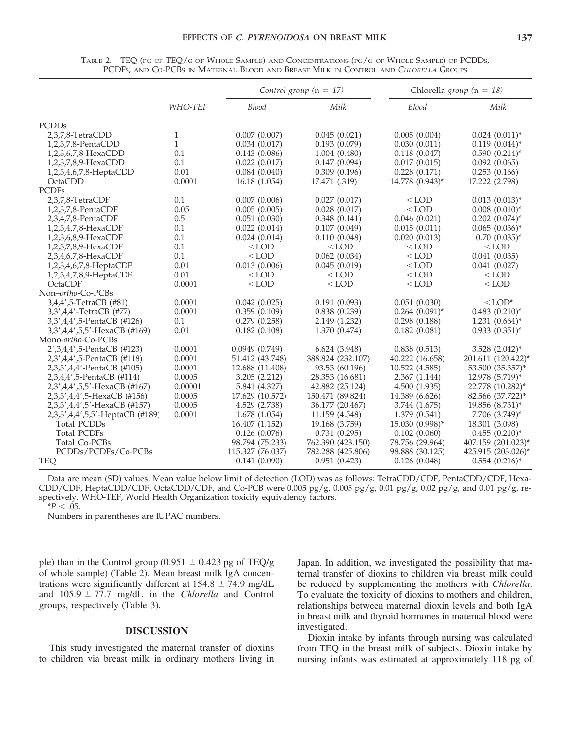|                                 |              |                  | Control group $(n = 17)$ | Chlorella group ( $n = 18$ ) |                                |
|---------------------------------|--------------|------------------|--------------------------|------------------------------|--------------------------------|
|                                 | WHO-TEF      | Blood            | Milk                     | <b>Blood</b>                 | Milk                           |
| <b>PCDDs</b>                    |              |                  |                          |                              |                                |
| 2,3,7,8-TetraCDD                | 1            | 0.007(0.007)     | 0.045(0.021)             | 0.005(0.004)                 | $0.024$ $(0.011)^*$            |
| 1,2,3,7,8-PentaCDD              | $\mathbf{1}$ | 0.034(0.017)     | 0.193(0.079)             | 0.030(0.011)                 | $0.119(0.044)^*$               |
| 1,2,3,6,7,8-HexaCDD             | 0.1          | 0.143(0.086)     | 1.004 (0.480)            | 0.118(0.047)                 | $0.590(0.214)^{*}$             |
| 1,2,3,7,8,9-HexaCDD             | 0.1          | 0.022(0.017)     | 0.147(0.094)             | 0.017(0.015)                 | 0.092(0.065)                   |
| 1,2,3,4,6,7,8-HeptaCDD          | 0.01         | 0.084(0.040)     | 0.309(0.196)             | 0.228(0.171)                 | 0.253(0.166)                   |
| OctaCDD                         | 0.0001       | 16.18 (1.054)    | 17.471 (.319)            | 14.778 (0.943)*              | 17.222 (2.798)                 |
| <b>PCDFs</b>                    |              |                  |                          |                              |                                |
| 2,3,7,8-TetraCDF                | 0.1          | 0.007(0.006)     | 0.027(0.017)             | $<$ LOD                      | $0.013(0.013)^*$               |
| 1,2,3,7,8-PentaCDF              | 0.05         | 0.005(0.005)     | 0.028(0.017)             | $<$ LOD                      | $0.008(0.010)*$                |
| 2,3,4,7,8-PentaCDF              | 0.5          | 0.051(0.030)     | 0.348(0.141)             | 0.046(0.021)                 | $0.202$ $(0.074)$ <sup>*</sup> |
| 1,2,3,4,7,8-HexaCDF             | 0.1          | 0.022(0.014)     | 0.107(0.049)             | 0.015(0.011)                 | $0.065$ $(0.036)^*$            |
| 1,2,3,6,8,9-HexaCDF             | 0.1          | 0.024(0.014)     | 0.110(0.048)             | 0.020(0.013)                 | $0.70(0.035)^*$                |
| 1,2,3,7,8,9-HexaCDF             | 0.1          | $<$ LOD          | $<$ LOD                  | $<$ LOD                      | $<$ LOD                        |
| 2,3,4,6,7,8-HexaCDF             | 0.1          | $<$ LOD          | 0.062(0.034)             | $<$ LOD                      | 0.041(0.035)                   |
| 1,2,3,4,6,7,8-HeptaCDF          | 0.01         | 0.013(0.006)     | 0.045(0.019)             | $<$ LOD                      | 0.041(0.027)                   |
| 1,2,3,4,7,8,9-HeptaCDF          | 0.01         | $<$ LOD          | $<$ LOD                  | $<$ LOD                      | $<$ LOD                        |
| OctaCDF                         | 0.0001       | $<$ LOD          | $<$ LOD                  | $<$ LOD                      | $<$ LOD                        |
| Non-ortho-Co-PCBs               |              |                  |                          |                              |                                |
| 3,4,4',5-TetraCB (#81)          | 0.0001       | 0.042(0.025)     | 0.191(0.093)             | 0.051(0.030)                 | $<$ LOD*                       |
| 3,3',4,4'-TetraCB (#77)         | 0.0001       | 0.359(0.109)     | 0.838(0.239)             | $0.264$ $(0.091)$ *          | $0.483$ $(0.210)^*$            |
| 3,3',4,4',5-PentaCB (#126)      | 0.1          | 0.279(0.258)     | 2.149 (1.232)            | 0.298(0.188)                 | $1.231 (0.664)^*$              |
| 3,3',4,4',5,5'-HexaCB (#169)    | 0.01         | 0.182(0.108)     | 1.370 (0.474)            | 0.182(0.081)                 | $0.933(0.351)^{*}$             |
| Mono-ortho-Co-PCBs              |              |                  |                          |                              |                                |
| 2', 3, 4, 4', 5-PentaCB (#123)  | 0.0001       | 0.0949(0.749)    | 6.624 (3.948)            | 0.838(0.513)                 | $3.528$ $(2.042)^*$            |
| 2,3',4,4',5-PentaCB (#118)      | 0.0001       | 51.412 (43.748)  | 388.824 (232.107)        | 40.222 (16.658)              | 201.611 (120.422)*             |
| 2,3,3',4,4'-PentaCB (#105)      | 0.0001       | 12.688 (11.408)  | 93.53 (60.196)           | 10.522 (4.585)               | 53.500 (35.357)*               |
| 2,3,4,4',5-PentaCB (#114)       | 0.0005       | 3.205(2.212)     | 28.353 (16.681)          | 2.367(1.144)                 | 12.978 (5.719)*                |
| 2,3',4,4',5,5'-HexaCB (#167)    | 0.00001      | 5.841 (4.327)    | 42.882 (25.124)          | 4.500 (1.935)                | 22.778 (10.282)*               |
| 2,3,3',4,4',5-HexaCB (#156)     | 0.0005       | 17.629 (10.572)  | 150.471 (89.824)         | 14.389 (6.626)               | 82.566 (37.722)*               |
| 2,3,3',4,4',5'-HexaCB (#157)    | 0.0005       | 4.529 (2.738)    | 36.177 (20.467)          | 3.744 (1.675)                | 19.856 (8.731)*                |
| 2,3,3',4,4',5,5'-HeptaCB (#189) | 0.0001       | 1.678 (1.054)    | 11.159 (4.548)           | 1.379 (0.541)                | 7.706 (3.749)*                 |
| <b>Total PCDDs</b>              |              | 16.407 (1.152)   | 19.168 (3.759)           | 15.030 (0.998)*              | 18.301 (3.098)                 |
| <b>Total PCDFs</b>              |              | 0.126(0.076)     | 0.731(0.295)             | 0.102(0.060)                 | $0.455(0.210)^{*}$             |
| Total Co-PCBs                   |              | 98.794 (75.233)  | 762.390 (423.150)        | 78.756 (29.964)              | 407.159 (201.023)*             |
| PCDDs/PCDFs/Co-PCBs             |              | 115.327 (76.037) | 782.288 (425.806)        | 98.888 (30.125)              | 425.915 (203.026)*             |
| <b>TEQ</b>                      |              | 0.141(0.090)     | 0.951(0.423)             | 0.126(0.048)                 | $0.554$ $(0.216)^*$            |

TABLE 2. TEQ (PG OF TEQ/G OF WHOLE SAMPLE) AND CONCENTRATIONS (PG/G OF WHOLE SAMPLE) OF PCDDS, PCDFS, AND CO-PCBS IN MATERNAL BLOOD AND BREAST MILK IN CONTROL AND *CHLORELLA* GROUPS

Data are mean (SD) values. Mean value below limit of detection (LOD) was as follows: TetraCDD/CDF, PentaCDD/CDF, Hexa-CDD/CDF, HeptaCDD/CDF, OctaCDD/CDF, and Co-PCB were 0.005 pg/g, 0.005 pg/g, 0.01 pg/g, 0.02 pg/g, and 0.01 pg/g, respectively. WHO-TEF, World Health Organization toxicity equivalency factors.  $*P < .05$ .

Numbers in parentheses are IUPAC numbers.

ple) than in the Control group (0.951  $\pm$  0.423 pg of TEQ/g of whole sample) (Table 2). Mean breast milk IgA concentrations were significantly different at  $154.8 \pm 74.9$  mg/dL and  $105.9 \pm 77.7$  mg/dL in the *Chlorella* and Control groups, respectively (Table 3).

### **DISCUSSION**

This study investigated the maternal transfer of dioxins to children via breast milk in ordinary mothers living in

Japan. In addition, we investigated the possibility that maternal transfer of dioxins to children via breast milk could be reduced by supplementing the mothers with *Chlorella*. To evaluate the toxicity of dioxins to mothers and children, relationships between maternal dioxin levels and both IgA in breast milk and thyroid hormones in maternal blood were investigated.

Dioxin intake by infants through nursing was calculated from TEQ in the breast milk of subjects. Dioxin intake by nursing infants was estimated at approximately 118 pg of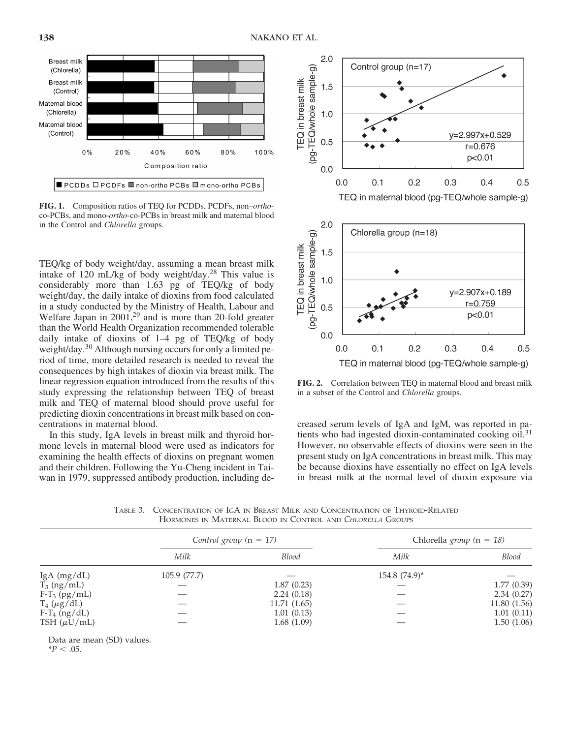

**FIG. 1.** Composition ratios of TEQ for PCDDs, PCDFs, non–*ortho*co-PCBs, and mono-*ortho*-co-PCBs in breast milk and maternal blood in the Control and *Chlorella* groups.

TEQ/kg of body weight/day, assuming a mean breast milk intake of 120 mL/kg of body weight/day.<sup>28</sup> This value is considerably more than 1.63 pg of TEQ/kg of body weight/day, the daily intake of dioxins from food calculated in a study conducted by the Ministry of Health, Labour and Welfare Japan in 2001,<sup>29</sup> and is more than 20-fold greater than the World Health Organization recommended tolerable daily intake of dioxins of 1–4 pg of TEQ/kg of body weight/day.<sup>30</sup> Although nursing occurs for only a limited period of time, more detailed research is needed to reveal the consequences by high intakes of dioxin via breast milk. The linear regression equation introduced from the results of this study expressing the relationship between TEQ of breast milk and TEQ of maternal blood should prove useful for predicting dioxin concentrations in breast milk based on concentrations in maternal blood.

In this study, IgA levels in breast milk and thyroid hormone levels in maternal blood were used as indicators for examining the health effects of dioxins on pregnant women and their children. Following the Yu-Cheng incident in Taiwan in 1979, suppressed antibody production, including de-



**FIG. 2.** Correlation between TEQ in maternal blood and breast milk in a subset of the Control and *Chlorella* groups.

creased serum levels of IgA and IgM, was reported in patients who had ingested dioxin-contaminated cooking oil.<sup>31</sup> However, no observable effects of dioxins were seen in the present study on IgA concentrations in breast milk. This may be because dioxins have essentially no effect on IgA levels in breast milk at the normal level of dioxin exposure via

TABLE 3. CONCENTRATION OF IGA IN BREAST MILK AND CONCENTRATION OF THYROID-RELATED HORMONES IN MATERNAL BLOOD IN CONTROL AND *CHLORELLA* GROUPS

|                     | Control group $(n = 17)$ |              | Chlorella group ( $n = 18$ ) |              |  |
|---------------------|--------------------------|--------------|------------------------------|--------------|--|
|                     | Milk                     | <b>Blood</b> | Milk                         | Blood        |  |
| IgA $(mg/dL)$       | 105.9 (77.7)             |              | $154.8 (74.9)^*$             |              |  |
| $T_3$ (ng/mL)       |                          | 1.87(0.23)   |                              | 1.77(0.39)   |  |
| $F-T_3$ (pg/mL)     |                          | 2.24(0.18)   |                              | 2.34(0.27)   |  |
| $T_4$ ( $\mu$ g/dL) |                          | 11.71(1.65)  |                              | 11.80 (1.56) |  |
| $F-T_4$ (ng/dL)     |                          | 1.01(0.13)   |                              | 1.01(0.11)   |  |
| TSH $(\mu U/mL)$    |                          | 1.68(1.09)   |                              | 1.50(1.06)   |  |

Data are mean (SD) values.

 $*P < .05$ .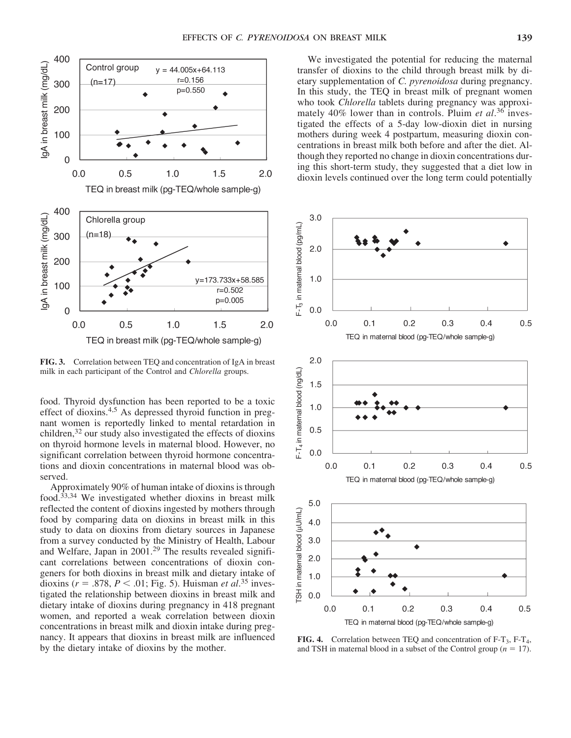

**FIG. 3.** Correlation between TEQ and concentration of IgA in breast milk in each participant of the Control and *Chlorella* groups.

food. Thyroid dysfunction has been reported to be a toxic effect of dioxins.4,5 As depressed thyroid function in pregnant women is reportedly linked to mental retardation in children, $32$  our study also investigated the effects of dioxins on thyroid hormone levels in maternal blood. However, no significant correlation between thyroid hormone concentrations and dioxin concentrations in maternal blood was observed.

Approximately 90% of human intake of dioxins is through food. $33,34$  We investigated whether dioxins in breast milk reflected the content of dioxins ingested by mothers through food by comparing data on dioxins in breast milk in this study to data on dioxins from dietary sources in Japanese from a survey conducted by the Ministry of Health, Labour and Welfare, Japan in 2001.<sup>29</sup> The results revealed significant correlations between concentrations of dioxin congeners for both dioxins in breast milk and dietary intake of dioxins ( $r = .878$ ,  $P < .01$ ; Fig. 5). Huisman *et al.*<sup>35</sup> investigated the relationship between dioxins in breast milk and dietary intake of dioxins during pregnancy in 418 pregnant women, and reported a weak correlation between dioxin concentrations in breast milk and dioxin intake during pregnancy. It appears that dioxins in breast milk are influenced by the dietary intake of dioxins by the mother.

We investigated the potential for reducing the maternal transfer of dioxins to the child through breast milk by dietary supplementation of *C. pyrenoidosa* during pregnancy. In this study, the TEQ in breast milk of pregnant women who took *Chlorella* tablets during pregnancy was approximately 40% lower than in controls. Pluim *et al*. <sup>36</sup> investigated the effects of a 5-day low-dioxin diet in nursing mothers during week 4 postpartum, measuring dioxin concentrations in breast milk both before and after the diet. Although they reported no change in dioxin concentrations during this short-term study, they suggested that a diet low in dioxin levels continued over the long term could potentially



**FIG. 4.** Correlation between TEQ and concentration of F-T<sub>3</sub>, F-T<sub>4</sub>, and TSH in maternal blood in a subset of the Control group  $(n = 17)$ .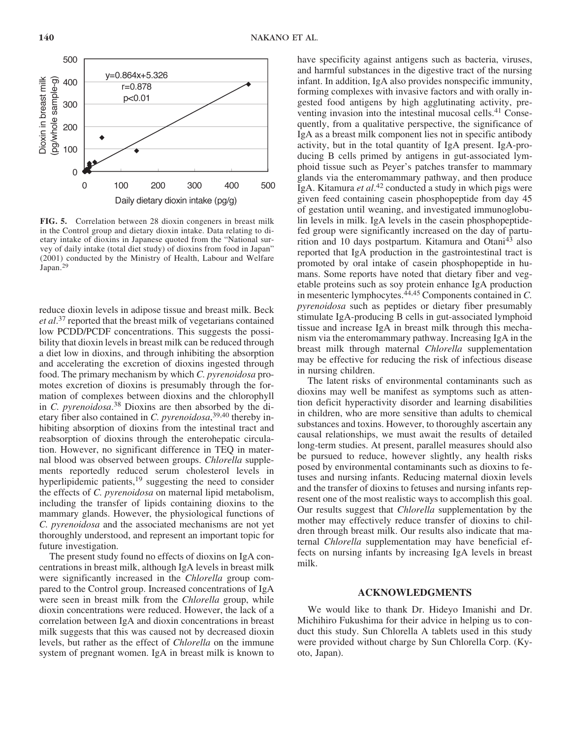

**FIG. 5.** Correlation between 28 dioxin congeners in breast milk in the Control group and dietary dioxin intake. Data relating to dietary intake of dioxins in Japanese quoted from the "National survey of daily intake (total diet study) of dioxins from food in Japan" (2001) conducted by the Ministry of Health, Labour and Welfare Japan.<sup>29</sup>

reduce dioxin levels in adipose tissue and breast milk. Beck *et al*. <sup>37</sup> reported that the breast milk of vegetarians contained low PCDD/PCDF concentrations. This suggests the possibility that dioxin levels in breast milk can be reduced through a diet low in dioxins, and through inhibiting the absorption and accelerating the excretion of dioxins ingested through food. The primary mechanism by which *C. pyrenoidosa* promotes excretion of dioxins is presumably through the formation of complexes between dioxins and the chlorophyll in *C. pyrenoidosa*. <sup>38</sup> Dioxins are then absorbed by the dietary fiber also contained in *C. pyrenoidosa*, 39,40 thereby inhibiting absorption of dioxins from the intestinal tract and reabsorption of dioxins through the enterohepatic circulation. However, no significant difference in TEQ in maternal blood was observed between groups. *Chlorella* supplements reportedly reduced serum cholesterol levels in hyperlipidemic patients,<sup>19</sup> suggesting the need to consider the effects of *C. pyrenoidosa* on maternal lipid metabolism, including the transfer of lipids containing dioxins to the mammary glands. However, the physiological functions of *C. pyrenoidosa* and the associated mechanisms are not yet thoroughly understood, and represent an important topic for future investigation.

The present study found no effects of dioxins on IgA concentrations in breast milk, although IgA levels in breast milk were significantly increased in the *Chlorella* group compared to the Control group. Increased concentrations of IgA were seen in breast milk from the *Chlorella* group, while dioxin concentrations were reduced. However, the lack of a correlation between IgA and dioxin concentrations in breast milk suggests that this was caused not by decreased dioxin levels, but rather as the effect of *Chlorella* on the immune system of pregnant women. IgA in breast milk is known to

have specificity against antigens such as bacteria, viruses, and harmful substances in the digestive tract of the nursing infant. In addition, IgA also provides nonspecific immunity, forming complexes with invasive factors and with orally ingested food antigens by high agglutinating activity, preventing invasion into the intestinal mucosal cells.<sup>41</sup> Consequently, from a qualitative perspective, the significance of IgA as a breast milk component lies not in specific antibody activity, but in the total quantity of IgA present. IgA-producing B cells primed by antigens in gut-associated lymphoid tissue such as Peyer's patches transfer to mammary glands via the enteromammary pathway, and then produce IgA. Kitamura *et al*. <sup>42</sup> conducted a study in which pigs were given feed containing casein phosphopeptide from day 45 of gestation until weaning, and investigated immunoglobulin levels in milk. IgA levels in the casein phosphopeptidefed group were significantly increased on the day of parturition and 10 days postpartum. Kitamura and Otani<sup>43</sup> also reported that IgA production in the gastrointestinal tract is promoted by oral intake of casein phosphopeptide in humans. Some reports have noted that dietary fiber and vegetable proteins such as soy protein enhance IgA production in mesenteric lymphocytes.44,45 Components contained in *C. pyrenoidosa* such as peptides or dietary fiber presumably stimulate IgA-producing B cells in gut-associated lymphoid tissue and increase IgA in breast milk through this mechanism via the enteromammary pathway. Increasing IgA in the breast milk through maternal *Chlorella* supplementation may be effective for reducing the risk of infectious disease in nursing children.

The latent risks of environmental contaminants such as dioxins may well be manifest as symptoms such as attention deficit hyperactivity disorder and learning disabilities in children, who are more sensitive than adults to chemical substances and toxins. However, to thoroughly ascertain any causal relationships, we must await the results of detailed long-term studies. At present, parallel measures should also be pursued to reduce, however slightly, any health risks posed by environmental contaminants such as dioxins to fetuses and nursing infants. Reducing maternal dioxin levels and the transfer of dioxins to fetuses and nursing infants represent one of the most realistic ways to accomplish this goal. Our results suggest that *Chlorella* supplementation by the mother may effectively reduce transfer of dioxins to children through breast milk. Our results also indicate that maternal *Chlorella* supplementation may have beneficial effects on nursing infants by increasing IgA levels in breast milk.

#### **ACKNOWLEDGMENTS**

We would like to thank Dr. Hideyo Imanishi and Dr. Michihiro Fukushima for their advice in helping us to conduct this study. Sun Chlorella A tablets used in this study were provided without charge by Sun Chlorella Corp. (Kyoto, Japan).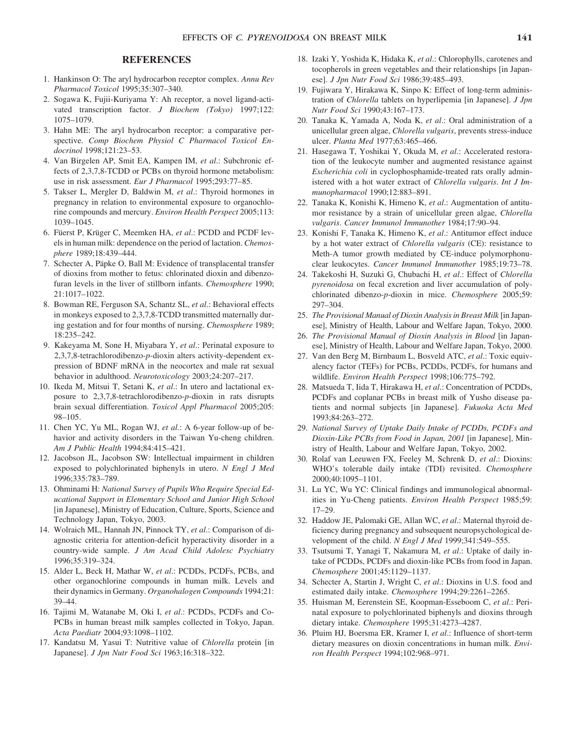# **REFERENCES**

- 1. Hankinson O: The aryl hydrocarbon receptor complex. *Annu Rev Pharmacol Toxicol* 1995;35:307–340.
- 2. Sogawa K, Fujii-Kuriyama Y: Ah receptor, a novel ligand-activated transcription factor. *J Biochem (Tokyo)* 1997;122: 1075–1079.
- 3. Hahn ME: The aryl hydrocarbon receptor: a comparative perspective. *Comp Biochem Physiol C Pharmacol Toxicol Endocrinol* 1998;121:23–53.
- 4. Van Birgelen AP, Smit EA, Kampen IM, *et al*.: Subchronic effects of 2,3,7,8-TCDD or PCBs on thyroid hormone metabolism: use in risk assessment. *Eur J Pharmacol* 1995;293:77–85.
- 5. Takser L, Mergler D, Baldwin M, *et al*.: Thyroid hormones in pregnancy in relation to environmental exposure to organochlorine compounds and mercury. *Environ Health Perspect* 2005;113: 1039–1045.
- 6. Füerst P, Krüger C, Meemken HA, *et al*.: PCDD and PCDF levels in human milk: dependence on the period of lactation. *Chemosphere* 1989;18:439–444.
- 7. Schecter A, Päpke O, Ball M: Evidence of transplacental transfer of dioxins from mother to fetus: chlorinated dioxin and dibenzofuran levels in the liver of stillborn infants. *Chemosphere* 1990; 21:1017–1022.
- 8. Bowman RE, Ferguson SA, Schantz SL, *et al*.: Behavioral effects in monkeys exposed to 2,3,7,8-TCDD transmitted maternally during gestation and for four months of nursing. *Chemosphere* 1989; 18:235–242.
- 9. Kakeyama M, Sone H, Miyabara Y, *et al*.: Perinatal exposure to 2,3,7,8-tetrachlorodibenzo-*p*-dioxin alters activity-dependent expression of BDNF mRNA in the neocortex and male rat sexual behavior in adulthood. *Neurotoxicology* 2003;24:207–217.
- 10. Ikeda M, Mitsui T, Setani K, *et al*.: In utero and lactational exposure to 2,3,7,8-tetrachlorodibenzo-*p*-dioxin in rats disrupts brain sexual differentiation. *Toxicol Appl Pharmacol* 2005;205: 98–105.
- 11. Chen YC, Yu ML, Rogan WJ, *et al*.: A 6-year follow-up of behavior and activity disorders in the Taiwan Yu-cheng children. *Am J Public Health* 1994;84:415–421.
- 12. Jacobson JL, Jacobson SW: Intellectual impairment in children exposed to polychlorinated biphenyls in utero. *N Engl J Med* 1996;335:783–789.
- 13. Ohminami H: *National Survey of Pupils Who Require Special Educational Support in Elementary School and Junior High School* [in Japanese], Ministry of Education, Culture, Sports, Science and Technology Japan, Tokyo, 2003.
- 14. Wolraich ML, Hannah JN, Pinnock TY, *et al*.: Comparison of diagnostic criteria for attention-deficit hyperactivity disorder in a country-wide sample. *J Am Acad Child Adolesc Psychiatry* 1996;35:319–324.
- 15. Alder L, Beck H, Mathar W, *et al*.: PCDDs, PCDFs, PCBs, and other organochlorine compounds in human milk. Levels and their dynamics in Germany. *Organohalogen Compounds* 1994;21: 39–44.
- 16. Tajimi M, Watanabe M, Oki I, *et al*.: PCDDs, PCDFs and Co-PCBs in human breast milk samples collected in Tokyo, Japan. *Acta Paediatr* 2004;93:1098–1102.
- 17. Kandatsu M, Yasui T: Nutritive value of *Chlorella* protein [in Japanese]. *J Jpn Nutr Food Sci* 1963;16:318–322.
- 18. Izaki Y, Yoshida K, Hidaka K, *et al*.: Chlorophylls, carotenes and tocopherols in green vegetables and their relationships [in Japanese]. *J Jpn Nutr Food Sci* 1986;39:485–493.
- 19. Fujiwara Y, Hirakawa K, Sinpo K: Effect of long-term administration of *Chlorella* tablets on hyperlipemia [in Japanese]. *J Jpn Nutr Food Sci* 1990;43:167–173.
- 20. Tanaka K, Yamada A, Noda K, *et al*.: Oral administration of a unicellular green algae, *Chlorella vulgaris*, prevents stress-induce ulcer. *Planta Med* 1977;63:465–466.
- 21. Hasegawa T, Yoshikai Y, Okuda M, *et al*.: Accelerated restoration of the leukocyte number and augmented resistance against *Escherichia coli* in cyclophosphamide-treated rats orally administered with a hot water extract of *Chlorella vulgaris*. *Int J Immunopharmacol* 1990;12:883–891.
- 22. Tanaka K, Konishi K, Himeno K, *et al*.: Augmentation of antitumor resistance by a strain of unicellular green algae, *Chlorella vulgaris*. *Cancer Immunol Immunother* 1984;17:90–94.
- 23. Konishi F, Tanaka K, Himeno K, *et al*.: Antitumor effect induce by a hot water extract of *Chlorella vulgaris* (CE): resistance to Meth-A tumor growth mediated by CE-induce polymorphonuclear leukocytes. *Cancer Immunol Immunother* 1985;19:73–78.
- 24. Takekoshi H, Suzuki G, Chubachi H, *et al*.: Effect of *Chlorella pyrenoidosa* on fecal excretion and liver accumulation of polychlorinated dibenzo-*p*-dioxin in mice. *Chemosphere* 2005;59: 297–304.
- 25. *The Provisional Manual of Dioxin Analysis in Breast Milk* [in Japanese], Ministry of Health, Labour and Welfare Japan, Tokyo, 2000.
- 26. *The Provisional Manual of Dioxin Analysis in Blood* [in Japanese], Ministry of Health, Labour and Welfare Japan, Tokyo, 2000.
- 27. Van den Berg M, Birnbaum L, Bosveld ATC, *et al*.: Toxic equivalency factor (TEFs) for PCBs, PCDDs, PCDFs, for humans and wildlife. *Environ Health Perspect* 1998;106:775–792.
- 28. Matsueda T, Iida T, Hirakawa H, *et al*.: Concentration of PCDDs, PCDFs and coplanar PCBs in breast milk of Yusho disease patients and normal subjects [in Japanese]. *Fukuoka Acta Med* 1993;84:263–272.
- 29. *National Survey of Uptake Daily Intake of PCDDs, PCDFs and Dioxin-Like PCBs from Food in Japan, 2001* [in Japanese], Ministry of Health, Labour and Welfare Japan, Tokyo, 2002.
- 30. Rolaf van Leeuwen FX, Feeley M, Schrenk D, *et al*.: Dioxins: WHO's tolerable daily intake (TDI) revisited. *Chemosphere* 2000;40:1095–1101.
- 31. Lu YC, Wu YC: Clinical findings and immunological abnormalities in Yu-Cheng patients. *Environ Health Perspect* 1985;59: 17–29.
- 32. Haddow JE, Palomaki GE, Allan WC, *et al*.: Maternal thyroid deficiency during pregnancy and subsequent neuropsychological development of the child. *N Engl J Med* 1999;341:549–555.
- 33. Tsutsumi T, Yanagi T, Nakamura M, *et al*.: Uptake of daily intake of PCDDs, PCDFs and dioxin-like PCBs from food in Japan. *Chemosphere* 2001;45:1129–1137.
- 34. Schecter A, Startin J, Wright C, *et al*.: Dioxins in U.S. food and estimated daily intake. *Chemosphere* 1994;29:2261–2265.
- 35. Huisman M, Eerenstein SE, Koopman-Esseboom C, *et al*.: Perinatal exposure to polychlorinated biphenyls and dioxins through dietary intake. *Chemosphere* 1995;31:4273–4287.
- 36. Pluim HJ, Boersma ER, Kramer I, *et al*.: Influence of short-term dietary measures on dioxin concentrations in human milk. *Environ Health Perspect* 1994;102:968–971.